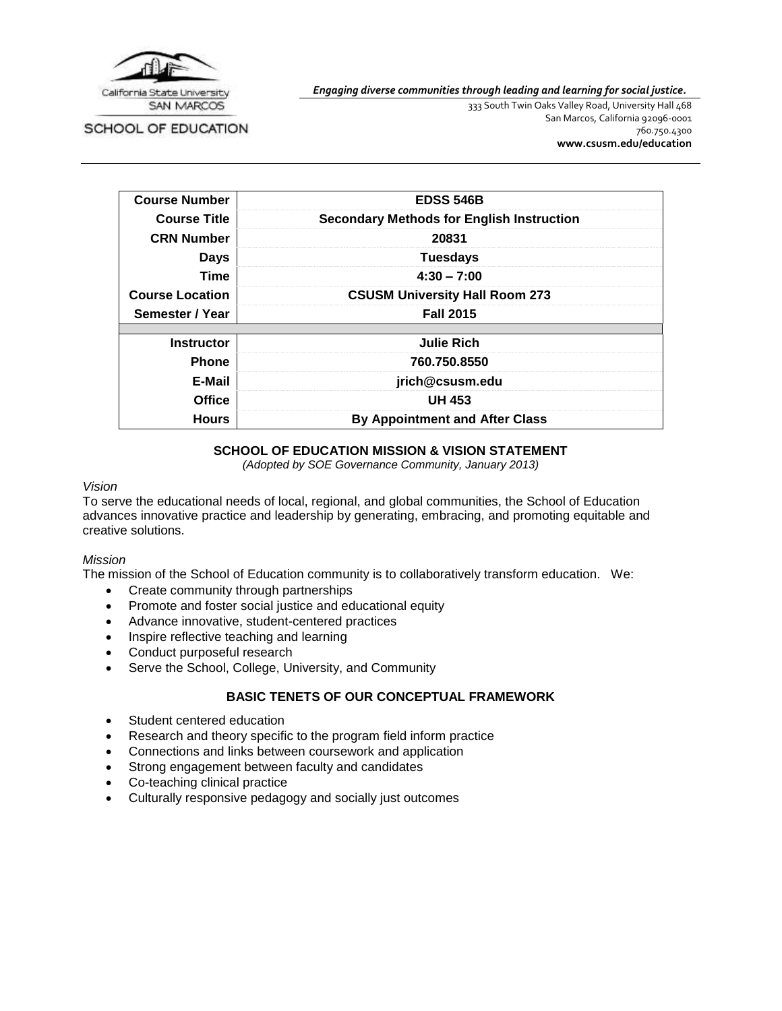

SCHOOL OF EDUCATION

*Engaging diverse communities through leading and learning for social justice.*

333 South Twin Oaks Valley Road, University Hall 468 San Marcos, California 92096-0001 760.750.4300 **[www.csusm.edu/education](http://www.csusm.edu/education)**

| <b>Course Number</b>   | <b>EDSS 546B</b>                                 |  |  |
|------------------------|--------------------------------------------------|--|--|
| <b>Course Title</b>    | <b>Secondary Methods for English Instruction</b> |  |  |
| <b>CRN Number</b>      | 20831                                            |  |  |
| <b>Days</b>            | <b>Tuesdays</b>                                  |  |  |
| <b>Time</b>            | $4:30 - 7:00$                                    |  |  |
| <b>Course Location</b> | <b>CSUSM University Hall Room 273</b>            |  |  |
| Semester / Year        | <b>Fall 2015</b>                                 |  |  |
|                        |                                                  |  |  |
| <b>Instructor</b>      | <b>Julie Rich</b>                                |  |  |
| <b>Phone</b>           | 760.750.8550                                     |  |  |
| E-Mail                 | jrich@csusm.edu                                  |  |  |
| Office                 | <b>UH 453</b>                                    |  |  |
| <b>Hours</b>           | <b>By Appointment and After Class</b>            |  |  |

### **SCHOOL OF EDUCATION MISSION & VISION STATEMENT**

*(Adopted by SOE Governance Community, January 2013)*

#### *Vision*

To serve the educational needs of local, regional, and global communities, the School of Education advances innovative practice and leadership by generating, embracing, and promoting equitable and creative solutions.

#### *Mission*

The mission of the School of Education community is to collaboratively transform education. We:

- Create community through partnerships
- Promote and foster social justice and educational equity
- Advance innovative, student-centered practices
- Inspire reflective teaching and learning
- Conduct purposeful research
- Serve the School, College, University, and Community

## **BASIC TENETS OF OUR CONCEPTUAL FRAMEWORK**

- Student centered education
- Research and theory specific to the program field inform practice
- Connections and links between coursework and application
- Strong engagement between faculty and candidates
- Co-teaching clinical practice
- Culturally responsive pedagogy and socially just outcomes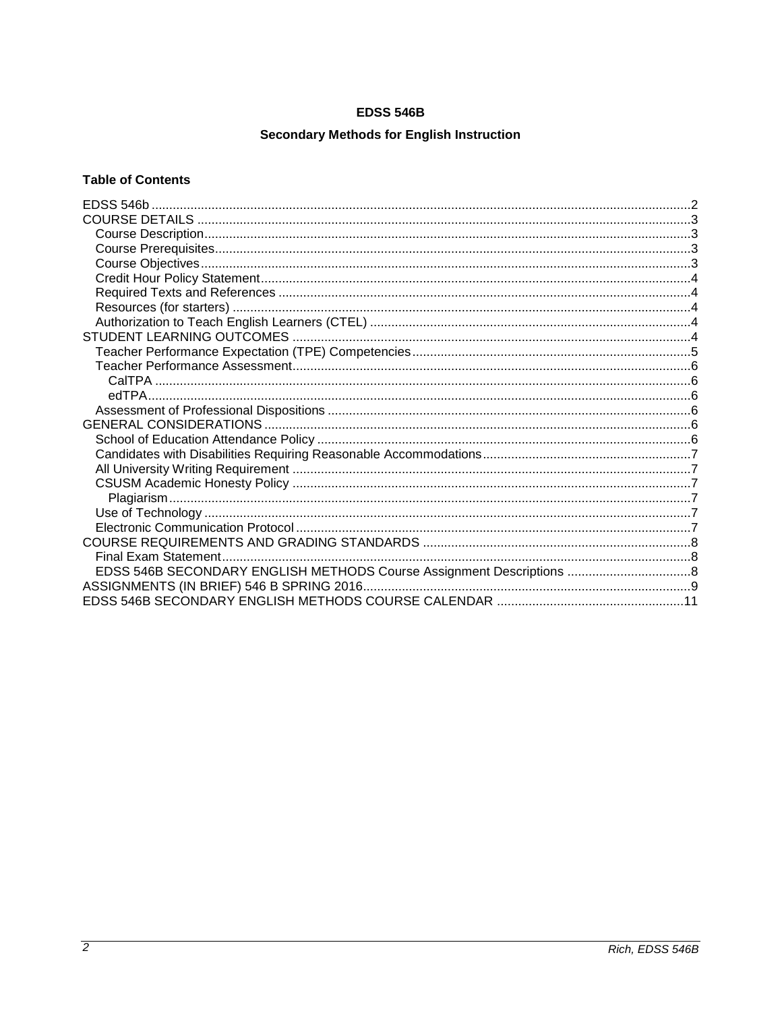# **EDSS 546B**

# **Secondary Methods for English Instruction**

# <span id="page-1-0"></span>**Table of Contents**

| EDSS 546B SECONDARY ENGLISH METHODS Course Assignment Descriptions  8 |  |
|-----------------------------------------------------------------------|--|
|                                                                       |  |
|                                                                       |  |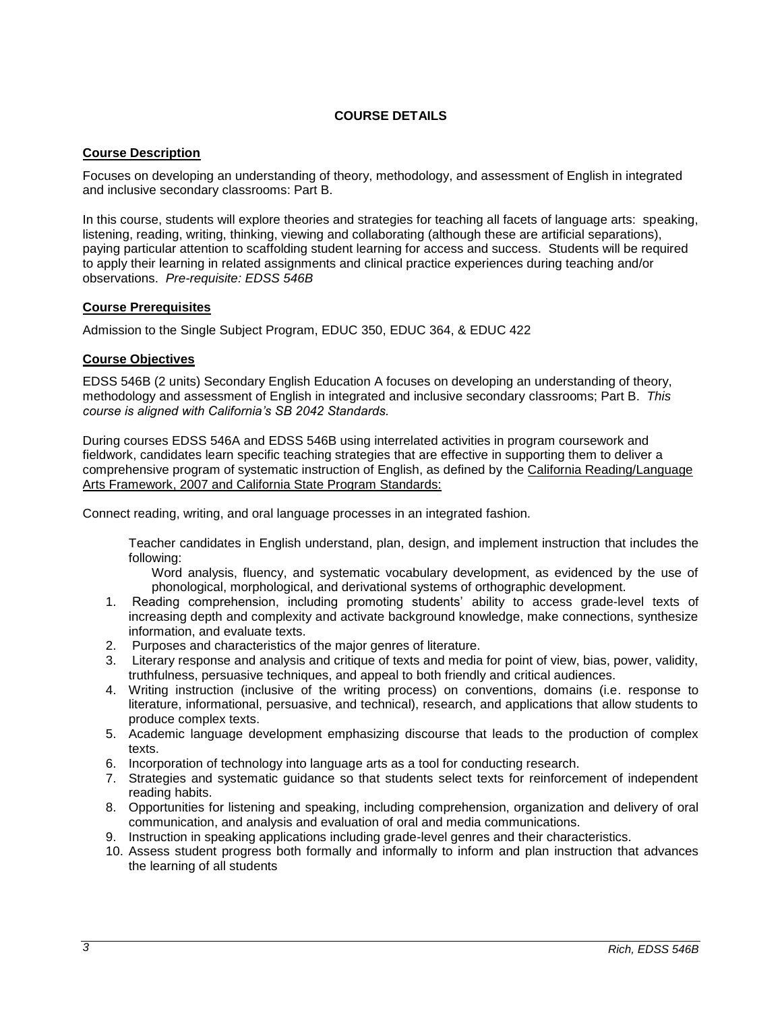### **COURSE DETAILS**

#### <span id="page-2-1"></span><span id="page-2-0"></span>**Course Description**

Focuses on developing an understanding of theory, methodology, and assessment of English in integrated and inclusive secondary classrooms: Part B.

In this course, students will explore theories and strategies for teaching all facets of language arts: speaking, listening, reading, writing, thinking, viewing and collaborating (although these are artificial separations), paying particular attention to scaffolding student learning for access and success. Students will be required to apply their learning in related assignments and clinical practice experiences during teaching and/or observations. *Pre-requisite: EDSS 546B*

#### <span id="page-2-2"></span>**Course Prerequisites**

Admission to the Single Subject Program, EDUC 350, EDUC 364, & EDUC 422

#### <span id="page-2-3"></span>**Course Objectives**

EDSS 546B (2 units) Secondary English Education A focuses on developing an understanding of theory, methodology and assessment of English in integrated and inclusive secondary classrooms; Part B. *This course is aligned with California's SB 2042 Standards.* 

During courses EDSS 546A and EDSS 546B using interrelated activities in program coursework and fieldwork, candidates learn specific teaching strategies that are effective in supporting them to deliver a comprehensive program of systematic instruction of English, as defined by the California Reading/Language Arts Framework, 2007 and California State Program Standards:

Connect reading, writing, and oral language processes in an integrated fashion.

Teacher candidates in English understand, plan, design, and implement instruction that includes the following:

Word analysis, fluency, and systematic vocabulary development, as evidenced by the use of phonological, morphological, and derivational systems of orthographic development.

- 1. Reading comprehension, including promoting students' ability to access grade-level texts of increasing depth and complexity and activate background knowledge, make connections, synthesize information, and evaluate texts.
- 2. Purposes and characteristics of the major genres of literature.
- 3. Literary response and analysis and critique of texts and media for point of view, bias, power, validity, truthfulness, persuasive techniques, and appeal to both friendly and critical audiences.
- 4. Writing instruction (inclusive of the writing process) on conventions, domains (i.e. response to literature, informational, persuasive, and technical), research, and applications that allow students to produce complex texts.
- 5. Academic language development emphasizing discourse that leads to the production of complex texts.
- 6. Incorporation of technology into language arts as a tool for conducting research.
- 7. Strategies and systematic guidance so that students select texts for reinforcement of independent reading habits.
- 8. Opportunities for listening and speaking, including comprehension, organization and delivery of oral communication, and analysis and evaluation of oral and media communications.
- 9. Instruction in speaking applications including grade-level genres and their characteristics.
- 10. Assess student progress both formally and informally to inform and plan instruction that advances the learning of all students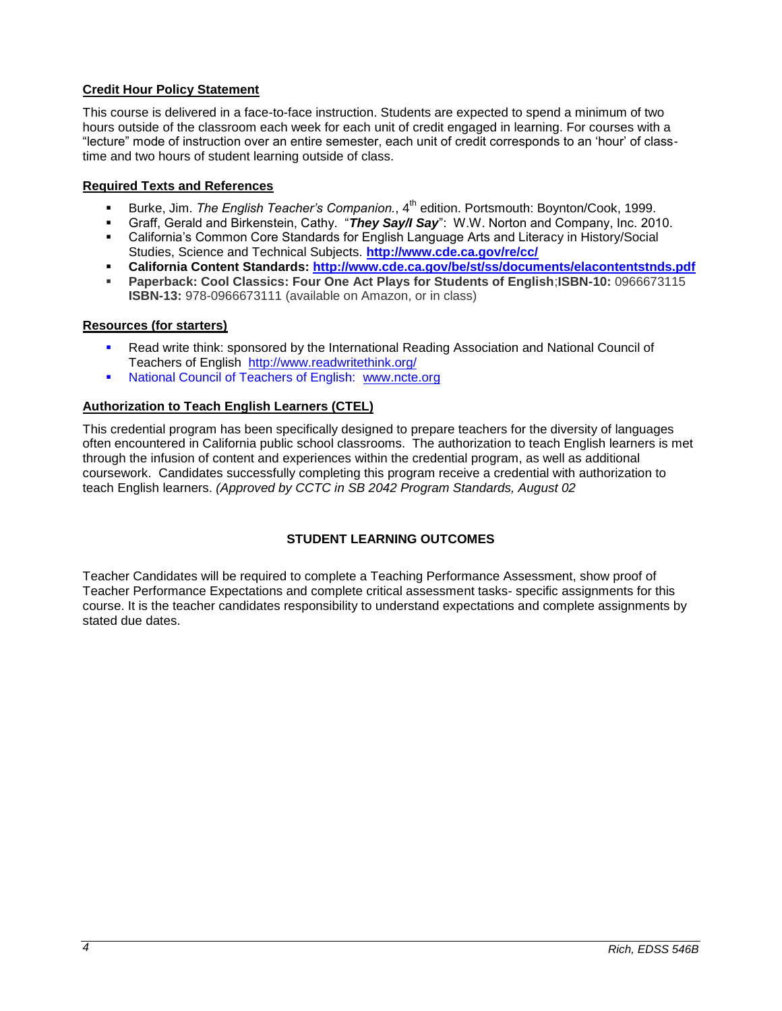# <span id="page-3-0"></span>**Credit Hour Policy Statement**

This course is delivered in a face-to-face instruction. Students are expected to spend a minimum of two hours outside of the classroom each week for each unit of credit engaged in learning. For courses with a "lecture" mode of instruction over an entire semester, each unit of credit corresponds to an 'hour' of classtime and two hours of student learning outside of class.

### <span id="page-3-1"></span>**Required Texts and References**

- Burke, Jim. *The English Teacher's Companion.*, 4<sup>th</sup> edition. Portsmouth: Boynton/Cook, 1999.
- Graff, Gerald and Birkenstein, Cathy. "*They Say/I Say*": W.W. Norton and Company, Inc. 2010.
- California's Common Core Standards for English Language Arts and Literacy in History/Social Studies, Science and Technical Subjects. **<http://www.cde.ca.gov/re/cc/>**
- **California Content Standards:<http://www.cde.ca.gov/be/st/ss/documents/elacontentstnds.pdf>**
- **Paperback: Cool Classics: Four One Act Plays for Students of English**;**ISBN-10:** 0966673115 **ISBN-13:** 978-0966673111 (available on Amazon, or in class)

#### <span id="page-3-2"></span>**Resources (for starters)**

- Read write think: sponsored by the International Reading Association and National Council of Teachers of English <http://www.readwritethink.org/>
- National Council of Teachers of English: [www.ncte.org](http://www.ncte.org/)

#### <span id="page-3-3"></span>**Authorization to Teach English Learners (CTEL)**

This credential program has been specifically designed to prepare teachers for the diversity of languages often encountered in California public school classrooms. The authorization to teach English learners is met through the infusion of content and experiences within the credential program, as well as additional coursework. Candidates successfully completing this program receive a credential with authorization to teach English learners. *(Approved by CCTC in SB 2042 Program Standards, August 02*

### **STUDENT LEARNING OUTCOMES**

<span id="page-3-4"></span>Teacher Candidates will be required to complete a Teaching Performance Assessment, show proof of Teacher Performance Expectations and complete critical assessment tasks- specific assignments for this course. It is the teacher candidates responsibility to understand expectations and complete assignments by stated due dates.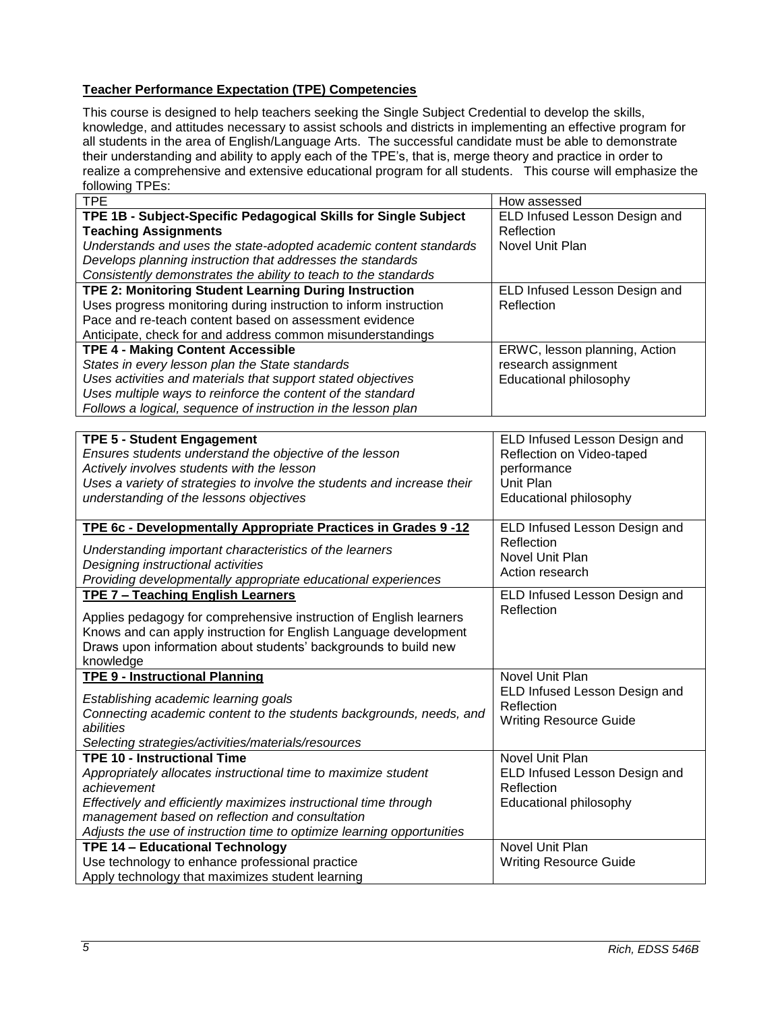# <span id="page-4-0"></span>**Teacher Performance Expectation (TPE) Competencies**

This course is designed to help teachers seeking the Single Subject Credential to develop the skills, knowledge, and attitudes necessary to assist schools and districts in implementing an effective program for all students in the area of English/Language Arts. The successful candidate must be able to demonstrate their understanding and ability to apply each of the TPE's, that is, merge theory and practice in order to realize a comprehensive and extensive educational program for all students. This course will emphasize the following TPEs:

| <b>TPE</b>                                                              | How assessed                  |
|-------------------------------------------------------------------------|-------------------------------|
| TPE 1B - Subject-Specific Pedagogical Skills for Single Subject         | ELD Infused Lesson Design and |
| <b>Teaching Assignments</b>                                             | Reflection                    |
| Understands and uses the state-adopted academic content standards       | Novel Unit Plan               |
| Develops planning instruction that addresses the standards              |                               |
| Consistently demonstrates the ability to teach to the standards         |                               |
| <b>TPE 2: Monitoring Student Learning During Instruction</b>            | ELD Infused Lesson Design and |
| Uses progress monitoring during instruction to inform instruction       | Reflection                    |
| Pace and re-teach content based on assessment evidence                  |                               |
| Anticipate, check for and address common misunderstandings              |                               |
| <b>TPE 4 - Making Content Accessible</b>                                | ERWC, lesson planning, Action |
| States in every lesson plan the State standards                         | research assignment           |
| Uses activities and materials that support stated objectives            | Educational philosophy        |
| Uses multiple ways to reinforce the content of the standard             |                               |
| Follows a logical, sequence of instruction in the lesson plan           |                               |
|                                                                         |                               |
| <b>TPE 5 - Student Engagement</b>                                       | ELD Infused Lesson Design and |
| Ensures students understand the objective of the lesson                 | Reflection on Video-taped     |
| Actively involves students with the lesson                              | performance                   |
| Uses a variety of strategies to involve the students and increase their | Unit Plan                     |
| understanding of the lessons objectives                                 | Educational philosophy        |
|                                                                         |                               |
| TPE 6c - Developmentally Appropriate Practices in Grades 9 -12          | ELD Infused Lesson Design and |
| Understanding important characteristics of the learners                 | Reflection                    |
| Designing instructional activities                                      | Novel Unit Plan               |
| Providing developmentally appropriate educational experiences           | Action research               |
| <b>TPE 7 - Teaching English Learners</b>                                | ELD Infused Lesson Design and |
|                                                                         | Reflection                    |
| Applies pedagogy for comprehensive instruction of English learners      |                               |
| Knows and can apply instruction for English Language development        |                               |
| Draws upon information about students' backgrounds to build new         |                               |
| knowledge                                                               |                               |
| <b>TPE 9 - Instructional Planning</b>                                   | Novel Unit Plan               |
| Establishing academic learning goals                                    | ELD Infused Lesson Design and |
| Connecting academic content to the students backgrounds, needs, and     | Reflection                    |
| abilities                                                               | <b>Writing Resource Guide</b> |
| Selecting strategies/activities/materials/resources                     |                               |
| <b>TPE 10 - Instructional Time</b>                                      | <b>Novel Unit Plan</b>        |
| Appropriately allocates instructional time to maximize student          | ELD Infused Lesson Design and |
| achievement                                                             | Reflection                    |
| Effectively and efficiently maximizes instructional time through        | Educational philosophy        |
| management based on reflection and consultation                         |                               |
| Adjusts the use of instruction time to optimize learning opportunities  |                               |
| TPE 14 - Educational Technology                                         | Novel Unit Plan               |
| Use technology to enhance professional practice                         | <b>Writing Resource Guide</b> |
| Apply technology that maximizes student learning                        |                               |
|                                                                         |                               |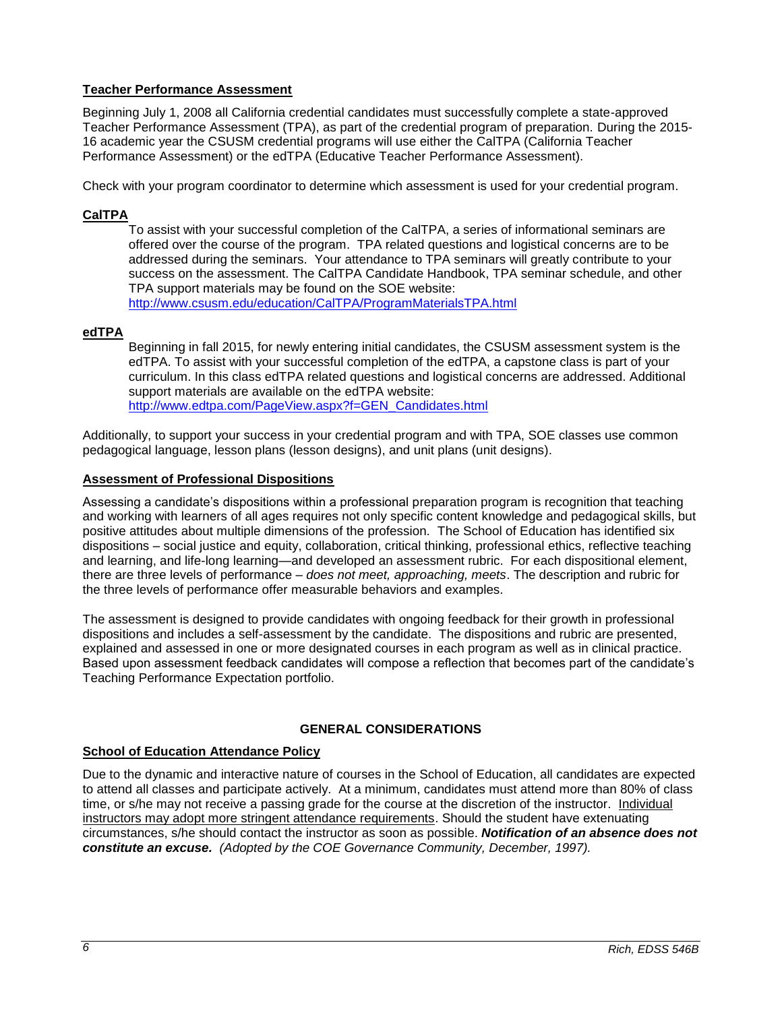### <span id="page-5-0"></span>**Teacher Performance Assessment**

Beginning July 1, 2008 all California credential candidates must successfully complete a state-approved Teacher Performance Assessment (TPA), as part of the credential program of preparation. During the 2015- 16 academic year the CSUSM credential programs will use either the CalTPA (California Teacher Performance Assessment) or the edTPA (Educative Teacher Performance Assessment).

Check with your program coordinator to determine which assessment is used for your credential program.

## <span id="page-5-1"></span>**CalTPA**

To assist with your successful completion of the CalTPA, a series of informational seminars are offered over the course of the program. TPA related questions and logistical concerns are to be addressed during the seminars. Your attendance to TPA seminars will greatly contribute to your success on the assessment. The CalTPA Candidate Handbook, TPA seminar schedule, and other TPA support materials may be found on the SOE website: <http://www.csusm.edu/education/CalTPA/ProgramMaterialsTPA.html>

### <span id="page-5-2"></span>**edTPA**

Beginning in fall 2015, for newly entering initial candidates, the CSUSM assessment system is the edTPA. To assist with your successful completion of the edTPA, a capstone class is part of your curriculum. In this class edTPA related questions and logistical concerns are addressed. Additional support materials are available on the edTPA website: [http://www.edtpa.com/PageView.aspx?f=GEN\\_Candidates.html](http://www.edtpa.com/PageView.aspx?f=GEN_Candidates.html)

Additionally, to support your success in your credential program and with TPA, SOE classes use common pedagogical language, lesson plans (lesson designs), and unit plans (unit designs).

#### <span id="page-5-3"></span>**Assessment of Professional Dispositions**

Assessing a candidate's dispositions within a professional preparation program is recognition that teaching and working with learners of all ages requires not only specific content knowledge and pedagogical skills, but positive attitudes about multiple dimensions of the profession. The School of Education has identified six dispositions – social justice and equity, collaboration, critical thinking, professional ethics, reflective teaching and learning, and life-long learning—and developed an assessment rubric. For each dispositional element, there are three levels of performance – *does not meet, approaching, meets*. The description and rubric for the three levels of performance offer measurable behaviors and examples.

The assessment is designed to provide candidates with ongoing feedback for their growth in professional dispositions and includes a self-assessment by the candidate. The dispositions and rubric are presented, explained and assessed in one or more designated courses in each program as well as in clinical practice. Based upon assessment feedback candidates will compose a reflection that becomes part of the candidate's Teaching Performance Expectation portfolio.

### **GENERAL CONSIDERATIONS**

#### <span id="page-5-5"></span><span id="page-5-4"></span>**School of Education Attendance Policy**

Due to the dynamic and interactive nature of courses in the School of Education, all candidates are expected to attend all classes and participate actively. At a minimum, candidates must attend more than 80% of class time, or s/he may not receive a passing grade for the course at the discretion of the instructor. Individual instructors may adopt more stringent attendance requirements. Should the student have extenuating circumstances, s/he should contact the instructor as soon as possible. *Notification of an absence does not constitute an excuse. (Adopted by the COE Governance Community, December, 1997).*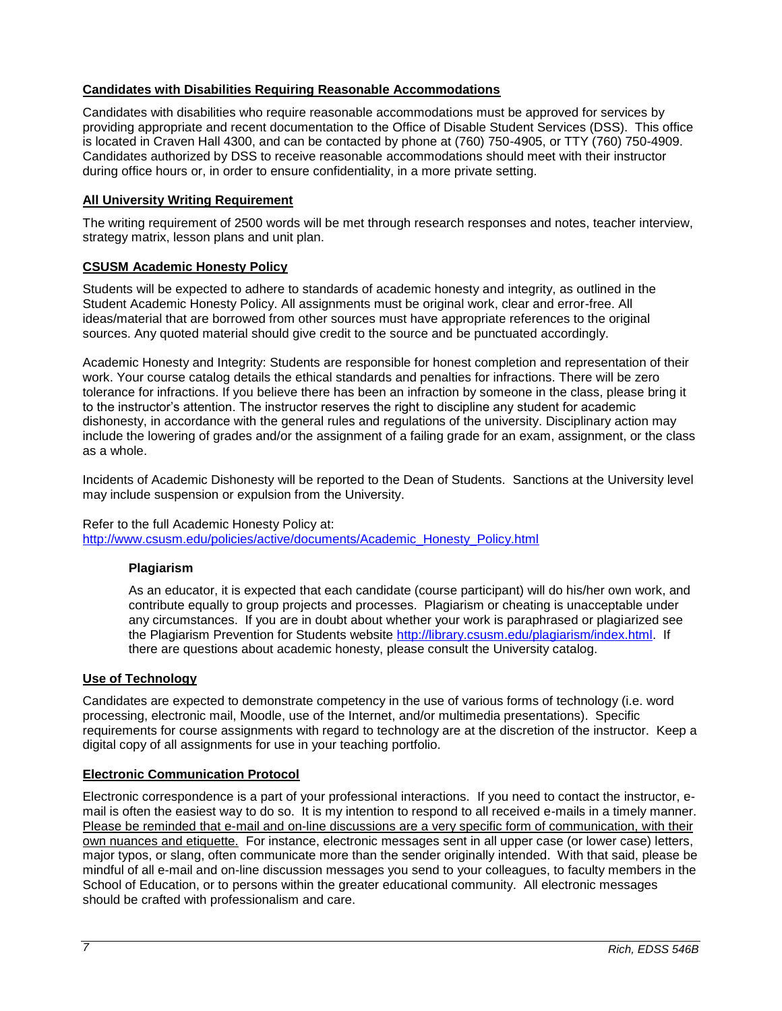## <span id="page-6-0"></span>**Candidates with Disabilities Requiring Reasonable Accommodations**

Candidates with disabilities who require reasonable accommodations must be approved for services by providing appropriate and recent documentation to the Office of Disable Student Services (DSS). This office is located in Craven Hall 4300, and can be contacted by phone at (760) 750-4905, or TTY (760) 750-4909. Candidates authorized by DSS to receive reasonable accommodations should meet with their instructor during office hours or, in order to ensure confidentiality, in a more private setting.

### <span id="page-6-1"></span>**All University Writing Requirement**

The writing requirement of 2500 words will be met through research responses and notes, teacher interview, strategy matrix, lesson plans and unit plan.

### <span id="page-6-2"></span>**CSUSM Academic Honesty Policy**

Students will be expected to adhere to standards of academic honesty and integrity, as outlined in the Student Academic Honesty Policy. All assignments must be original work, clear and error-free. All ideas/material that are borrowed from other sources must have appropriate references to the original sources. Any quoted material should give credit to the source and be punctuated accordingly.

Academic Honesty and Integrity: Students are responsible for honest completion and representation of their work. Your course catalog details the ethical standards and penalties for infractions. There will be zero tolerance for infractions. If you believe there has been an infraction by someone in the class, please bring it to the instructor's attention. The instructor reserves the right to discipline any student for academic dishonesty, in accordance with the general rules and regulations of the university. Disciplinary action may include the lowering of grades and/or the assignment of a failing grade for an exam, assignment, or the class as a whole.

Incidents of Academic Dishonesty will be reported to the Dean of Students. Sanctions at the University level may include suspension or expulsion from the University.

### Refer to the full Academic Honesty Policy at:

<span id="page-6-3"></span>[http://www.csusm.edu/policies/active/documents/Academic\\_Honesty\\_Policy.html](http://www.csusm.edu/policies/active/documents/Academic_Honesty_Policy.html)

### **Plagiarism**

As an educator, it is expected that each candidate (course participant) will do his/her own work, and contribute equally to group projects and processes. Plagiarism or cheating is unacceptable under any circumstances. If you are in doubt about whether your work is paraphrased or plagiarized see the Plagiarism Prevention for Students website [http://library.csusm.edu/plagiarism/index.html.](http://library.csusm.edu/plagiarism/index.html) If there are questions about academic honesty, please consult the University catalog.

### <span id="page-6-4"></span>**Use of Technology**

Candidates are expected to demonstrate competency in the use of various forms of technology (i.e. word processing, electronic mail, Moodle, use of the Internet, and/or multimedia presentations). Specific requirements for course assignments with regard to technology are at the discretion of the instructor. Keep a digital copy of all assignments for use in your teaching portfolio.

#### <span id="page-6-5"></span>**Electronic Communication Protocol**

Electronic correspondence is a part of your professional interactions. If you need to contact the instructor, email is often the easiest way to do so. It is my intention to respond to all received e-mails in a timely manner. Please be reminded that e-mail and on-line discussions are a very specific form of communication, with their own nuances and etiquette. For instance, electronic messages sent in all upper case (or lower case) letters, major typos, or slang, often communicate more than the sender originally intended. With that said, please be mindful of all e-mail and on-line discussion messages you send to your colleagues, to faculty members in the School of Education, or to persons within the greater educational community. All electronic messages should be crafted with professionalism and care.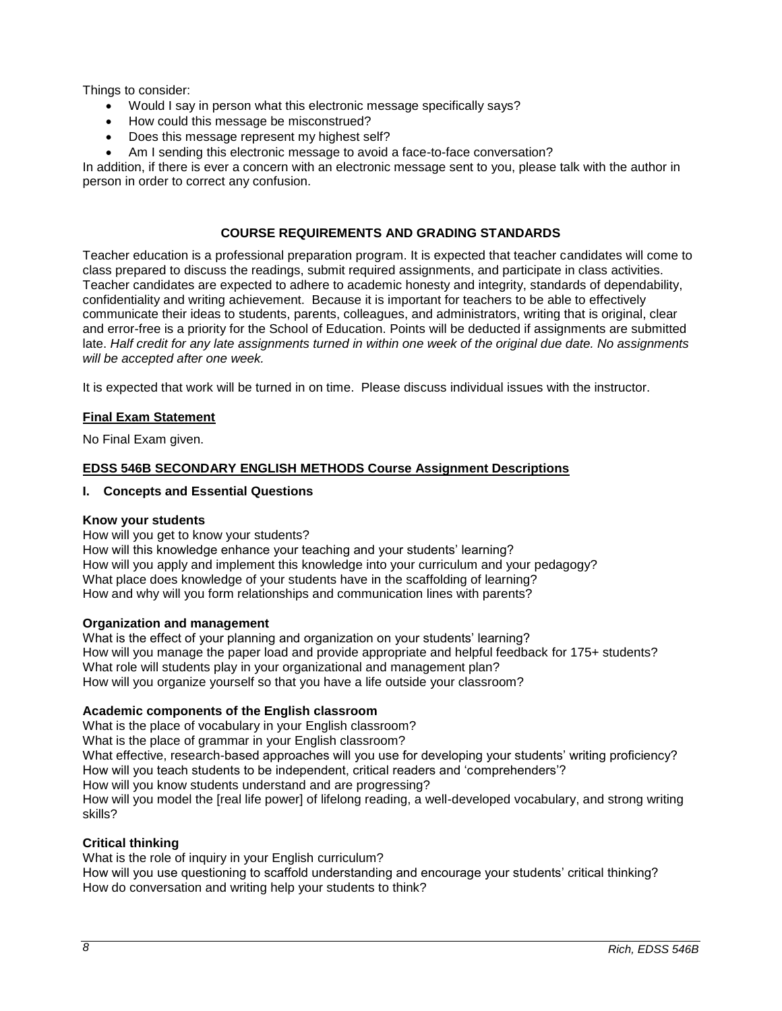Things to consider:

- Would I say in person what this electronic message specifically says?
- How could this message be misconstrued?
- Does this message represent my highest self?
- Am I sending this electronic message to avoid a face-to-face conversation?

In addition, if there is ever a concern with an electronic message sent to you, please talk with the author in person in order to correct any confusion.

# **COURSE REQUIREMENTS AND GRADING STANDARDS**

<span id="page-7-0"></span>Teacher education is a professional preparation program. It is expected that teacher candidates will come to class prepared to discuss the readings, submit required assignments, and participate in class activities. Teacher candidates are expected to adhere to academic honesty and integrity, standards of dependability, confidentiality and writing achievement. Because it is important for teachers to be able to effectively communicate their ideas to students, parents, colleagues, and administrators, writing that is original, clear and error-free is a priority for the School of Education. Points will be deducted if assignments are submitted late. *Half credit for any late assignments turned in within one week of the original due date. No assignments will be accepted after one week.*

It is expected that work will be turned in on time. Please discuss individual issues with the instructor.

### <span id="page-7-1"></span>**Final Exam Statement**

No Final Exam given.

### <span id="page-7-2"></span>**EDSS 546B SECONDARY ENGLISH METHODS Course Assignment Descriptions**

#### **I. Concepts and Essential Questions**

#### **Know your students**

How will you get to know your students?

How will this knowledge enhance your teaching and your students' learning? How will you apply and implement this knowledge into your curriculum and your pedagogy? What place does knowledge of your students have in the scaffolding of learning? How and why will you form relationships and communication lines with parents?

#### **Organization and management**

What is the effect of your planning and organization on your students' learning? How will you manage the paper load and provide appropriate and helpful feedback for 175+ students? What role will students play in your organizational and management plan? How will you organize yourself so that you have a life outside your classroom?

### **Academic components of the English classroom**

What is the place of vocabulary in your English classroom? What is the place of grammar in your English classroom? What effective, research-based approaches will you use for developing your students' writing proficiency? How will you teach students to be independent, critical readers and 'comprehenders'? How will you know students understand and are progressing? How will you model the [real life power] of lifelong reading, a well-developed vocabulary, and strong writing skills?

### **Critical thinking**

What is the role of inquiry in your English curriculum? How will you use questioning to scaffold understanding and encourage your students' critical thinking? How do conversation and writing help your students to think?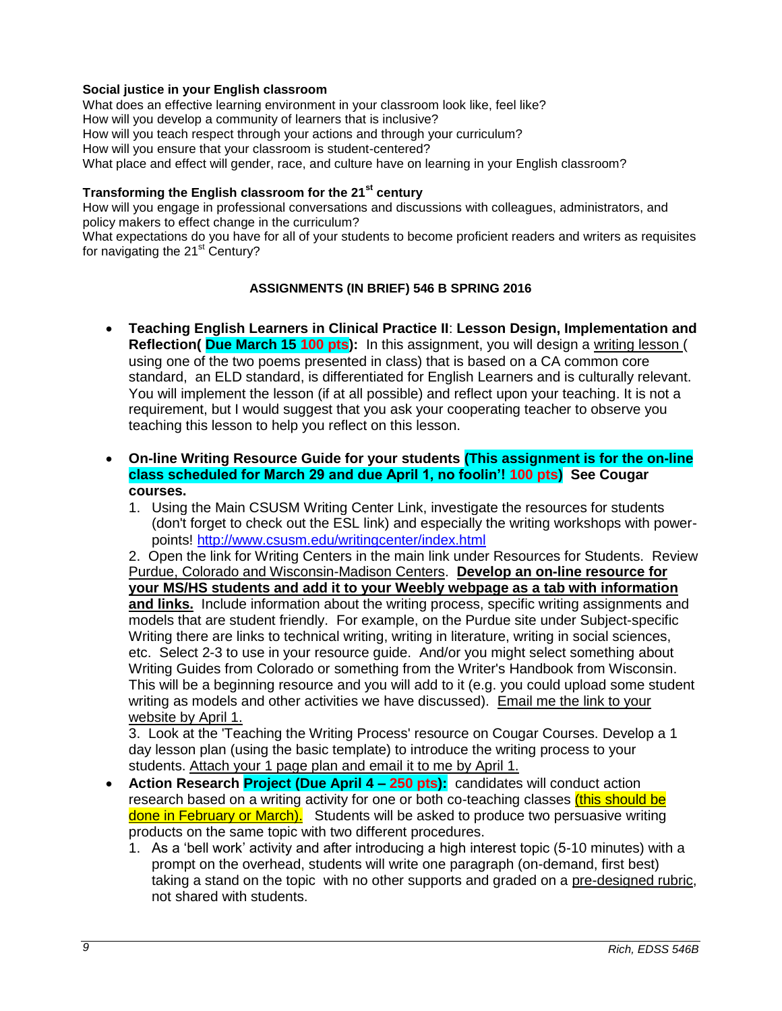### **Social justice in your English classroom**

What does an effective learning environment in your classroom look like, feel like? How will you develop a community of learners that is inclusive? How will you teach respect through your actions and through your curriculum? How will you ensure that your classroom is student-centered? What place and effect will gender, race, and culture have on learning in your English classroom?

# **Transforming the English classroom for the 21st century**

How will you engage in professional conversations and discussions with colleagues, administrators, and policy makers to effect change in the curriculum?

<span id="page-8-0"></span>What expectations do you have for all of your students to become proficient readers and writers as requisites for navigating the  $21<sup>st</sup>$  Century?

### **ASSIGNMENTS (IN BRIEF) 546 B SPRING 2016**

- **Teaching English Learners in Clinical Practice II**: **Lesson Design, Implementation and Reflection( Due March 15 100 pts):** In this assignment, you will design a writing lesson ( using one of the two poems presented in class) that is based on a CA common core standard, an ELD standard, is differentiated for English Learners and is culturally relevant. You will implement the lesson (if at all possible) and reflect upon your teaching. It is not a requirement, but I would suggest that you ask your cooperating teacher to observe you teaching this lesson to help you reflect on this lesson.
- **On-line Writing Resource Guide for your students (This assignment is for the on-line class scheduled for March 29 and due April 1, no foolin'! 100 pts) See Cougar courses.**
	- 1. Using the Main CSUSM Writing Center Link, investigate the resources for students (don't forget to check out the ESL link) and especially the writing workshops with powerpoints!<http://www.csusm.edu/writingcenter/index.html>

2. Open the link for Writing Centers in the main link under Resources for Students. Review Purdue, Colorado and Wisconsin-Madison Centers. **Develop an on-line resource for your MS/HS students and add it to your Weebly webpage as a tab with information**  and links. Include information about the writing process, specific writing assignments and models that are student friendly. For example, on the Purdue site under Subject-specific Writing there are links to technical writing, writing in literature, writing in social sciences, etc. Select 2-3 to use in your resource guide. And/or you might select something about Writing Guides from Colorado or something from the Writer's Handbook from Wisconsin. This will be a beginning resource and you will add to it (e.g. you could upload some student writing as models and other activities we have discussed). Email me the link to your website by April 1.

3. Look at the 'Teaching the Writing Process' resource on Cougar Courses. Develop a 1 day lesson plan (using the basic template) to introduce the writing process to your students. Attach your 1 page plan and email it to me by April 1.

- **Action Research Project (Due April 4 – 250 pts):** candidates will conduct action research based on a writing activity for one or both co-teaching classes *(this should be* done in February or March). Students will be asked to produce two persuasive writing products on the same topic with two different procedures.
	- 1. As a 'bell work' activity and after introducing a high interest topic (5-10 minutes) with a prompt on the overhead, students will write one paragraph (on-demand, first best) taking a stand on the topic with no other supports and graded on a pre-designed rubric, not shared with students.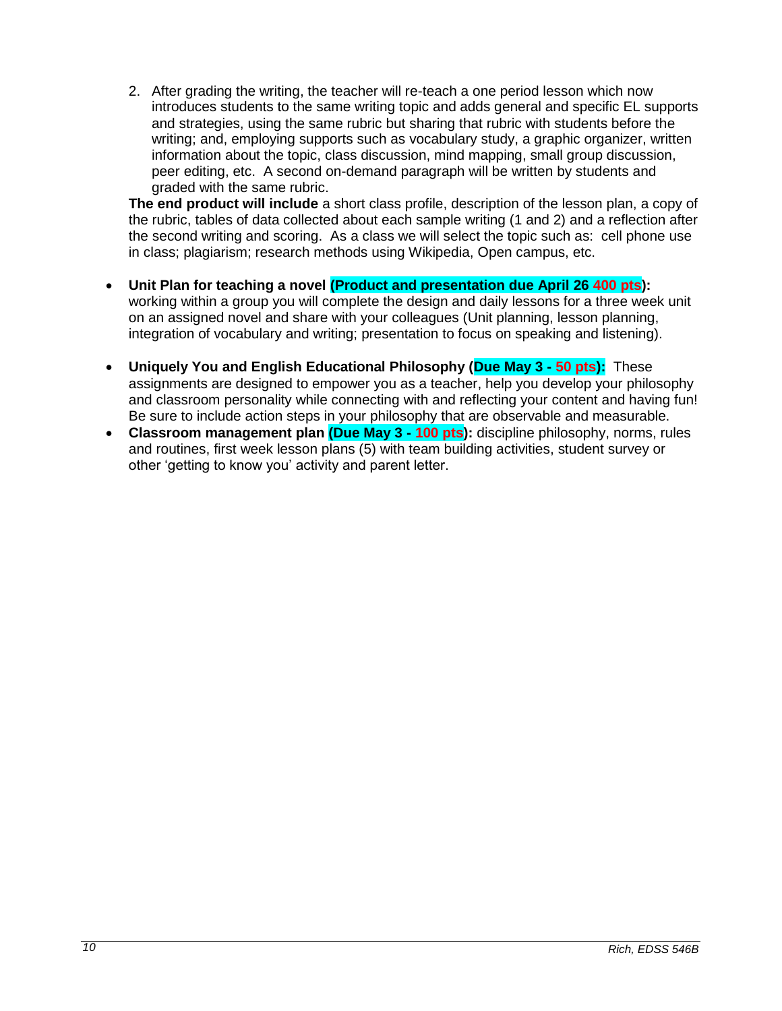2. After grading the writing, the teacher will re-teach a one period lesson which now introduces students to the same writing topic and adds general and specific EL supports and strategies, using the same rubric but sharing that rubric with students before the writing; and, employing supports such as vocabulary study, a graphic organizer, written information about the topic, class discussion, mind mapping, small group discussion, peer editing, etc. A second on-demand paragraph will be written by students and graded with the same rubric.

**The end product will include** a short class profile, description of the lesson plan, a copy of the rubric, tables of data collected about each sample writing (1 and 2) and a reflection after the second writing and scoring. As a class we will select the topic such as: cell phone use in class; plagiarism; research methods using Wikipedia, Open campus, etc.

- **Unit Plan for teaching a novel (Product and presentation due April 26 400 pts):**  working within a group you will complete the design and daily lessons for a three week unit on an assigned novel and share with your colleagues (Unit planning, lesson planning, integration of vocabulary and writing; presentation to focus on speaking and listening).
- **Uniquely You and English Educational Philosophy (Due May 3 - 50 pts):** These assignments are designed to empower you as a teacher, help you develop your philosophy and classroom personality while connecting with and reflecting your content and having fun! Be sure to include action steps in your philosophy that are observable and measurable.
- **Classroom management plan (Due May 3 - 100 pts):** discipline philosophy, norms, rules and routines, first week lesson plans (5) with team building activities, student survey or other 'getting to know you' activity and parent letter.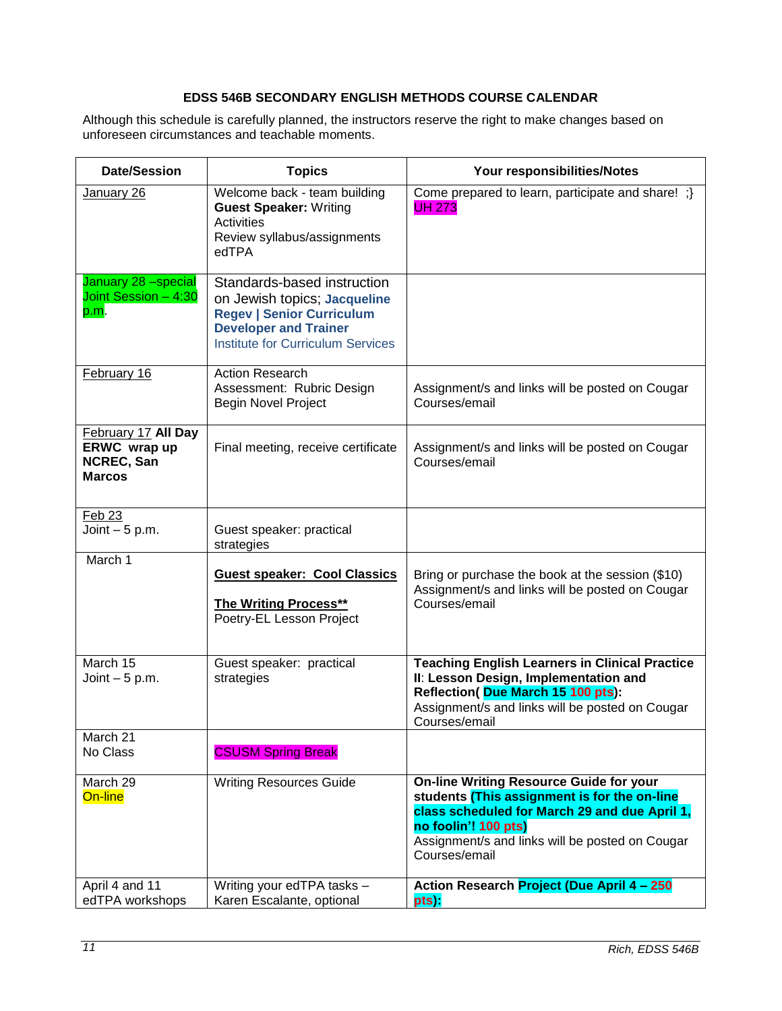# **EDSS 546B SECONDARY ENGLISH METHODS COURSE CALENDAR**

<span id="page-10-0"></span>Although this schedule is carefully planned, the instructors reserve the right to make changes based on unforeseen circumstances and teachable moments.

| <b>Date/Session</b>                                                | <b>Topics</b>                                                                                                                                                               | Your responsibilities/Notes                                                                                                                                                                                                                 |
|--------------------------------------------------------------------|-----------------------------------------------------------------------------------------------------------------------------------------------------------------------------|---------------------------------------------------------------------------------------------------------------------------------------------------------------------------------------------------------------------------------------------|
| January 26                                                         | Welcome back - team building<br><b>Guest Speaker: Writing</b><br>Activities<br>Review syllabus/assignments<br>edTPA                                                         | Come prepared to learn, participate and share! ;}<br><b>UH 273</b>                                                                                                                                                                          |
| January 28 -special<br>Joint Session - 4:30<br>p.m.                | Standards-based instruction<br>on Jewish topics; Jacqueline<br><b>Regev   Senior Curriculum</b><br><b>Developer and Trainer</b><br><b>Institute for Curriculum Services</b> |                                                                                                                                                                                                                                             |
| February 16                                                        | <b>Action Research</b><br>Assessment: Rubric Design<br><b>Begin Novel Project</b>                                                                                           | Assignment/s and links will be posted on Cougar<br>Courses/email                                                                                                                                                                            |
| February 17 All Day<br>ERWC wrap up<br>NCREC, San<br><b>Marcos</b> | Final meeting, receive certificate                                                                                                                                          | Assignment/s and links will be posted on Cougar<br>Courses/email                                                                                                                                                                            |
| <b>Feb 23</b><br>Joint $-5$ p.m.                                   | Guest speaker: practical<br>strategies                                                                                                                                      |                                                                                                                                                                                                                                             |
| March 1                                                            | <b>Guest speaker: Cool Classics</b><br><b>The Writing Process**</b><br>Poetry-EL Lesson Project                                                                             | Bring or purchase the book at the session (\$10)<br>Assignment/s and links will be posted on Cougar<br>Courses/email                                                                                                                        |
| March 15<br>Joint $-5$ p.m.                                        | Guest speaker: practical<br>strategies                                                                                                                                      | <b>Teaching English Learners in Clinical Practice</b><br>II: Lesson Design, Implementation and<br>Reflection(Due March 15 100 pts):<br>Assignment/s and links will be posted on Cougar<br>Courses/email                                     |
| March 21<br>No Class                                               | <b>CSUSM Spring Break</b>                                                                                                                                                   |                                                                                                                                                                                                                                             |
| March 29<br>On-line                                                | <b>Writing Resources Guide</b>                                                                                                                                              | <b>On-line Writing Resource Guide for your</b><br>students (This assignment is for the on-line<br>class scheduled for March 29 and due April 1,<br>no foolin'! 100 pts)<br>Assignment/s and links will be posted on Cougar<br>Courses/email |
| April 4 and 11<br>edTPA workshops                                  | Writing your edTPA tasks -<br>Karen Escalante, optional                                                                                                                     | Action Research Project (Due April 4 - 250<br>pts)                                                                                                                                                                                          |